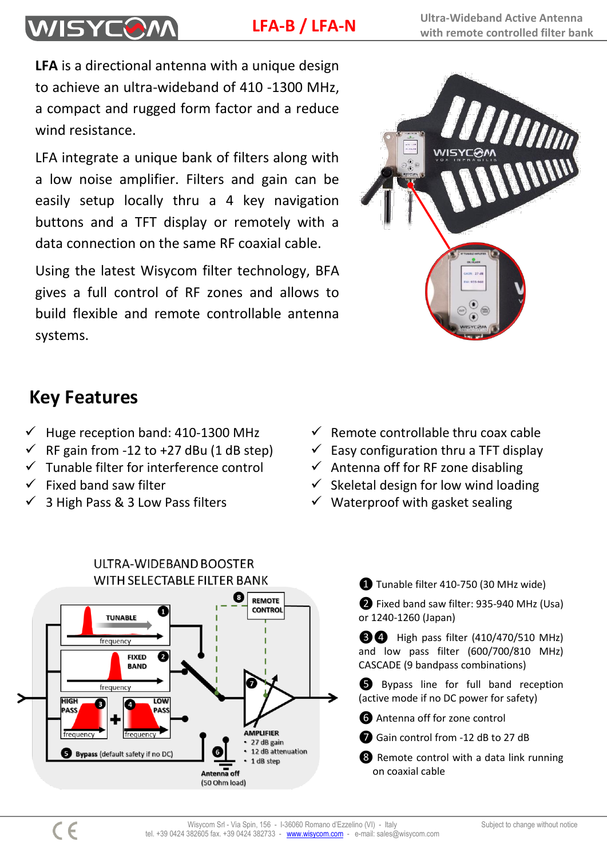**LFA-B / LFA-N**

**LFA** is a directional antenna with a unique design to achieve an ultra-wideband of 410 -1300 MHz, a compact and rugged form factor and a reduce wind resistance.

LFA integrate a unique bank of filters along with a low noise amplifier. Filters and gain can be easily setup locally thru a 4 key navigation buttons and a TFT display or remotely with a data connection on the same RF coaxial cable.

Using the latest Wisycom filter technology, BFA gives a full control of RF zones and allows to build flexible and remote controllable antenna systems.



# **Key Features**

**WISYCOM** 

- $\checkmark$  Huge reception band: 410-1300 MHz  $\checkmark$  Remote controllable thru coax cable
- $\checkmark$  RF gain from -12 to +27 dBu (1 dB step)  $\checkmark$  Easy configuration thru a TFT display
- $\checkmark$  Tunable filter for interference control  $\checkmark$  Antenna off for RF zone disabling
- 
- 
- 
- 
- 
- $\checkmark$  Fixed band saw filter  $\checkmark$  Skeletal design for low wind loading
- $\checkmark$  3 High Pass & 3 Low Pass filters  $\checkmark$  Waterproof with gasket sealing



❶ Tunable filter 410-750 (30 MHz wide)

❷ Fixed band saw filter: 935-940 MHz (Usa) or 1240-1260 (Japan)

**@@** High pass filter (410/470/510 MHz) and low pass filter (600/700/810 MHz) CASCADE (9 bandpass combinations)

❺ Bypass line for full band reception (active mode if no DC power for safety)

**O** Antenna off for zone control

❼ Gain control from -12 dB to 27 dB

❽ Remote control with a data link running on coaxial cable